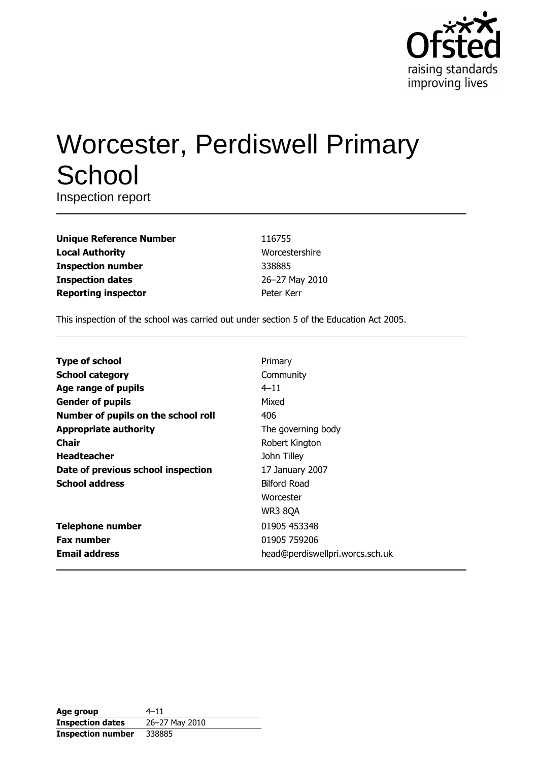

# **Worcester, Perdiswell Primary** School

Inspection report

| <b>Unique Reference Number</b> |
|--------------------------------|
| <b>Local Authority</b>         |
| <b>Inspection number</b>       |
| <b>Inspection dates</b>        |
| <b>Reporting inspector</b>     |

116755 Worcestershire 338885 26-27 May 2010 Peter Kerr

This inspection of the school was carried out under section 5 of the Education Act 2005.

| <b>Type of school</b>               | Primary                         |
|-------------------------------------|---------------------------------|
| <b>School category</b>              | Community                       |
| Age range of pupils                 | $4 - 11$                        |
| <b>Gender of pupils</b>             | Mixed                           |
| Number of pupils on the school roll | 406                             |
| <b>Appropriate authority</b>        | The governing body              |
| Chair                               | Robert Kington                  |
| <b>Headteacher</b>                  | John Tilley                     |
| Date of previous school inspection  | 17 January 2007                 |
| <b>School address</b>               | <b>Bilford Road</b>             |
|                                     | Worcester                       |
|                                     | <b>WR3 8QA</b>                  |
| <b>Telephone number</b>             | 01905 453348                    |
| <b>Fax number</b>                   | 01905 759206                    |
| <b>Email address</b>                | head@perdiswellpri.worcs.sch.uk |

| Age group                | $4 - 11$       |
|--------------------------|----------------|
| <b>Inspection dates</b>  | 26-27 May 2010 |
| <b>Inspection number</b> | 338885         |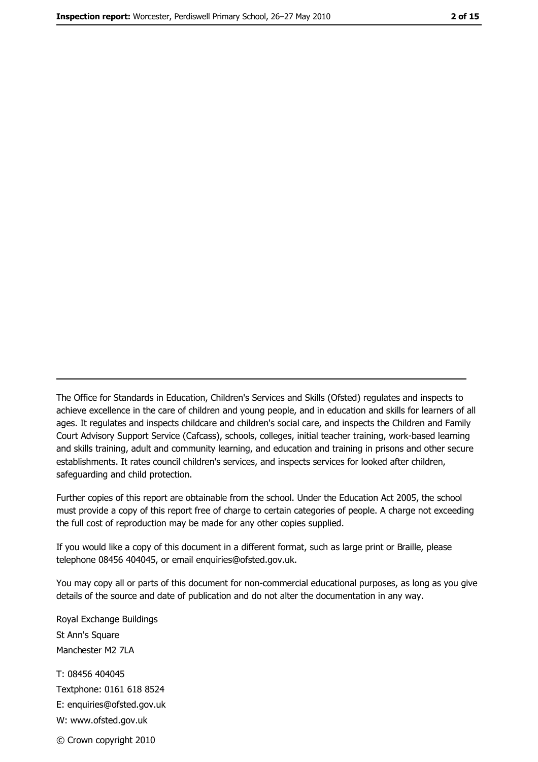The Office for Standards in Education, Children's Services and Skills (Ofsted) regulates and inspects to achieve excellence in the care of children and young people, and in education and skills for learners of all ages. It regulates and inspects childcare and children's social care, and inspects the Children and Family Court Advisory Support Service (Cafcass), schools, colleges, initial teacher training, work-based learning and skills training, adult and community learning, and education and training in prisons and other secure establishments. It rates council children's services, and inspects services for looked after children, safequarding and child protection.

Further copies of this report are obtainable from the school. Under the Education Act 2005, the school must provide a copy of this report free of charge to certain categories of people. A charge not exceeding the full cost of reproduction may be made for any other copies supplied.

If you would like a copy of this document in a different format, such as large print or Braille, please telephone 08456 404045, or email enquiries@ofsted.gov.uk.

You may copy all or parts of this document for non-commercial educational purposes, as long as you give details of the source and date of publication and do not alter the documentation in any way.

Royal Exchange Buildings St Ann's Square Manchester M2 7LA T: 08456 404045 Textphone: 0161 618 8524 E: enquiries@ofsted.gov.uk W: www.ofsted.gov.uk © Crown copyright 2010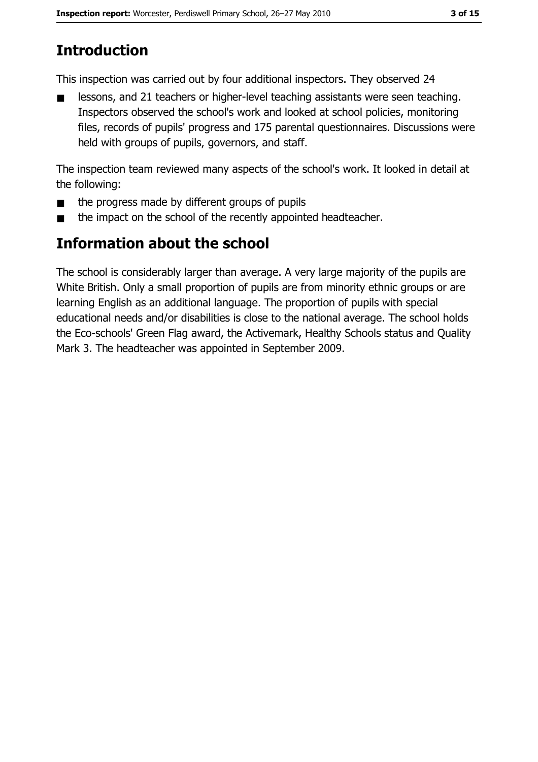## **Introduction**

This inspection was carried out by four additional inspectors. They observed 24

lessons, and 21 teachers or higher-level teaching assistants were seen teaching.  $\blacksquare$ Inspectors observed the school's work and looked at school policies, monitoring files, records of pupils' progress and 175 parental questionnaires. Discussions were held with groups of pupils, governors, and staff.

The inspection team reviewed many aspects of the school's work. It looked in detail at the following:

- the progress made by different groups of pupils  $\blacksquare$
- the impact on the school of the recently appointed headteacher.  $\blacksquare$

## Information about the school

The school is considerably larger than average. A very large majority of the pupils are White British. Only a small proportion of pupils are from minority ethnic groups or are learning English as an additional language. The proportion of pupils with special educational needs and/or disabilities is close to the national average. The school holds the Eco-schools' Green Flag award, the Activemark, Healthy Schools status and Quality Mark 3. The headteacher was appointed in September 2009.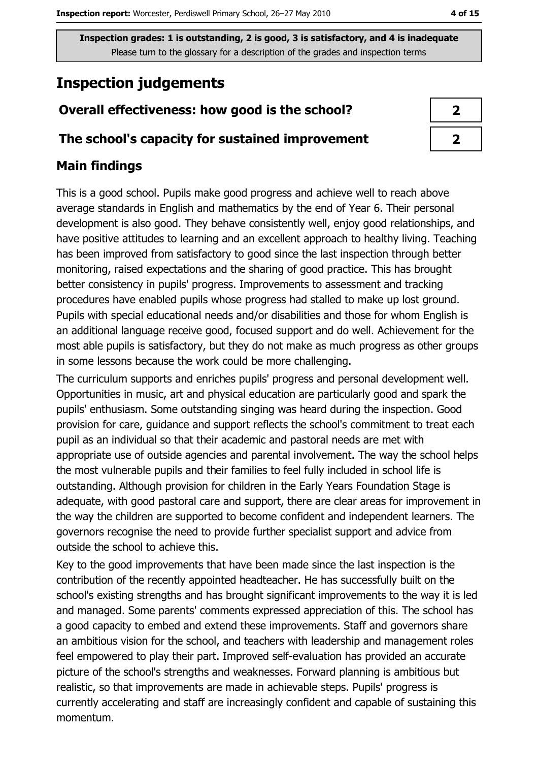## **Inspection judgements**

#### Overall effectiveness: how good is the school?

#### The school's capacity for sustained improvement

#### **Main findings**

This is a good school. Pupils make good progress and achieve well to reach above average standards in English and mathematics by the end of Year 6. Their personal development is also good. They behave consistently well, enjoy good relationships, and have positive attitudes to learning and an excellent approach to healthy living. Teaching has been improved from satisfactory to good since the last inspection through better monitoring, raised expectations and the sharing of good practice. This has brought better consistency in pupils' progress. Improvements to assessment and tracking procedures have enabled pupils whose progress had stalled to make up lost ground. Pupils with special educational needs and/or disabilities and those for whom English is an additional language receive good, focused support and do well. Achievement for the most able pupils is satisfactory, but they do not make as much progress as other groups in some lessons because the work could be more challenging.

The curriculum supports and enriches pupils' progress and personal development well. Opportunities in music, art and physical education are particularly good and spark the pupils' enthusiasm. Some outstanding singing was heard during the inspection. Good provision for care, quidance and support reflects the school's commitment to treat each pupil as an individual so that their academic and pastoral needs are met with appropriate use of outside agencies and parental involvement. The way the school helps the most vulnerable pupils and their families to feel fully included in school life is outstanding. Although provision for children in the Early Years Foundation Stage is adequate, with good pastoral care and support, there are clear areas for improvement in the way the children are supported to become confident and independent learners. The governors recognise the need to provide further specialist support and advice from outside the school to achieve this.

Key to the good improvements that have been made since the last inspection is the contribution of the recently appointed headteacher. He has successfully built on the school's existing strengths and has brought significant improvements to the way it is led and managed. Some parents' comments expressed appreciation of this. The school has a good capacity to embed and extend these improvements. Staff and governors share an ambitious vision for the school, and teachers with leadership and management roles feel empowered to play their part. Improved self-evaluation has provided an accurate picture of the school's strengths and weaknesses. Forward planning is ambitious but realistic, so that improvements are made in achievable steps. Pupils' progress is currently accelerating and staff are increasingly confident and capable of sustaining this momentum.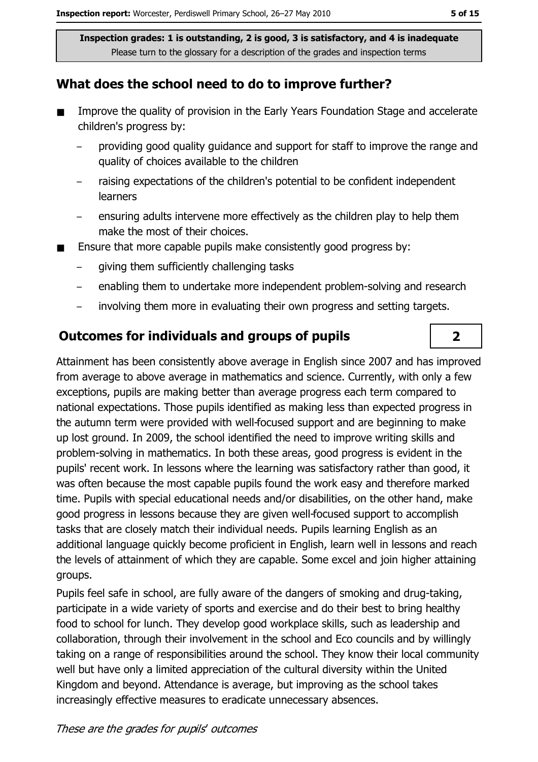#### What does the school need to do to improve further?

- $\blacksquare$ Improve the quality of provision in the Early Years Foundation Stage and accelerate children's progress by:
	- providing good quality quidance and support for staff to improve the range and quality of choices available to the children
	- raising expectations of the children's potential to be confident independent **learners**
	- ensuring adults intervene more effectively as the children play to help them make the most of their choices.
- Ensure that more capable pupils make consistently good progress by:
	- giving them sufficiently challenging tasks
	- enabling them to undertake more independent problem-solving and research
	- involving them more in evaluating their own progress and setting targets.  $\overline{a}$

#### **Outcomes for individuals and groups of pupils**

Attainment has been consistently above average in English since 2007 and has improved from average to above average in mathematics and science. Currently, with only a few exceptions, pupils are making better than average progress each term compared to national expectations. Those pupils identified as making less than expected progress in the autumn term were provided with well-focused support and are beginning to make up lost ground. In 2009, the school identified the need to improve writing skills and problem-solving in mathematics. In both these areas, good progress is evident in the pupils' recent work. In lessons where the learning was satisfactory rather than good, it was often because the most capable pupils found the work easy and therefore marked time. Pupils with special educational needs and/or disabilities, on the other hand, make good progress in lessons because they are given well-focused support to accomplish tasks that are closely match their individual needs. Pupils learning English as an additional language quickly become proficient in English, learn well in lessons and reach the levels of attainment of which they are capable. Some excel and join higher attaining groups.

Pupils feel safe in school, are fully aware of the dangers of smoking and drug-taking, participate in a wide variety of sports and exercise and do their best to bring healthy food to school for lunch. They develop good workplace skills, such as leadership and collaboration, through their involvement in the school and Eco councils and by willingly taking on a range of responsibilities around the school. They know their local community well but have only a limited appreciation of the cultural diversity within the United Kingdom and beyond. Attendance is average, but improving as the school takes increasingly effective measures to eradicate unnecessary absences.

 $\overline{2}$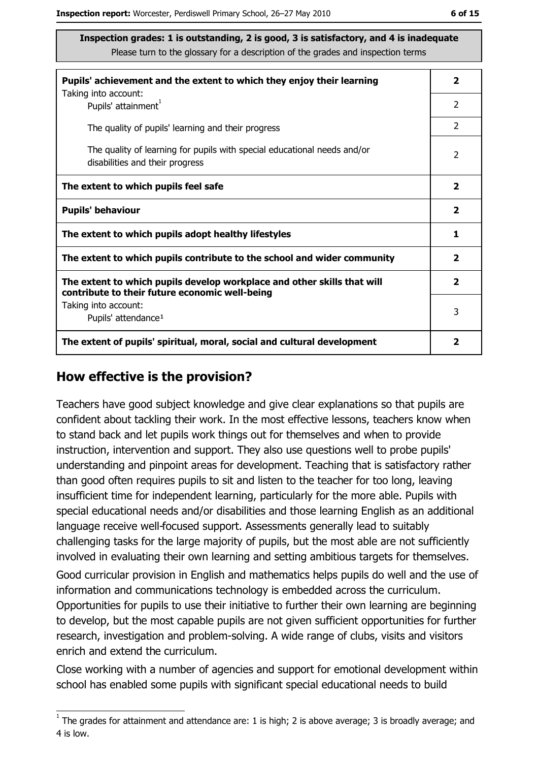| Pupils' achievement and the extent to which they enjoy their learning                                                     | $\mathbf{2}$            |
|---------------------------------------------------------------------------------------------------------------------------|-------------------------|
| Taking into account:<br>Pupils' attainment <sup>1</sup>                                                                   | $\overline{2}$          |
| The quality of pupils' learning and their progress                                                                        | $\overline{2}$          |
| The quality of learning for pupils with special educational needs and/or<br>disabilities and their progress               | 2                       |
| The extent to which pupils feel safe                                                                                      | $\mathbf{2}$            |
| <b>Pupils' behaviour</b>                                                                                                  | $\mathbf{2}$            |
| The extent to which pupils adopt healthy lifestyles                                                                       | 1                       |
| The extent to which pupils contribute to the school and wider community                                                   | $\overline{2}$          |
| The extent to which pupils develop workplace and other skills that will<br>contribute to their future economic well-being | $\overline{\mathbf{2}}$ |
| Taking into account:<br>Pupils' attendance <sup>1</sup>                                                                   | 3                       |
| The extent of pupils' spiritual, moral, social and cultural development                                                   | 2                       |

#### How effective is the provision?

Teachers have good subject knowledge and give clear explanations so that pupils are confident about tackling their work. In the most effective lessons, teachers know when to stand back and let pupils work things out for themselves and when to provide instruction, intervention and support. They also use questions well to probe pupils' understanding and pinpoint areas for development. Teaching that is satisfactory rather than good often reguires pupils to sit and listen to the teacher for too long, leaving insufficient time for independent learning, particularly for the more able. Pupils with special educational needs and/or disabilities and those learning English as an additional language receive well-focused support. Assessments generally lead to suitably challenging tasks for the large majority of pupils, but the most able are not sufficiently involved in evaluating their own learning and setting ambitious targets for themselves. Good curricular provision in English and mathematics helps pupils do well and the use of information and communications technology is embedded across the curriculum.

Opportunities for pupils to use their initiative to further their own learning are beginning to develop, but the most capable pupils are not given sufficient opportunities for further research, investigation and problem-solving. A wide range of clubs, visits and visitors enrich and extend the curriculum.

Close working with a number of agencies and support for emotional development within school has enabled some pupils with significant special educational needs to build

 $\overline{1}$  The grades for attainment and attendance are: 1 is high; 2 is above average; 3 is broadly average; and 4 is low.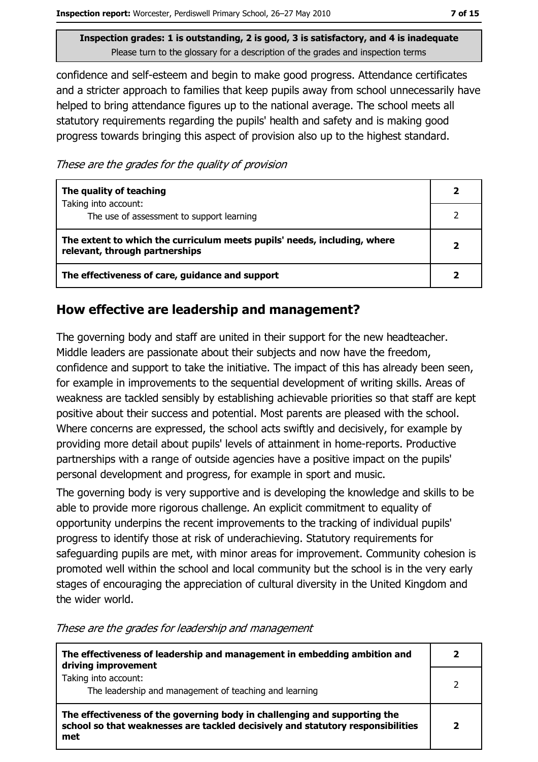confidence and self-esteem and begin to make good progress. Attendance certificates and a stricter approach to families that keep pupils away from school unnecessarily have helped to bring attendance figures up to the national average. The school meets all statutory requirements regarding the pupils' health and safety and is making good progress towards bringing this aspect of provision also up to the highest standard.

These are the grades for the quality of provision

| The quality of teaching                                                                                    |  |
|------------------------------------------------------------------------------------------------------------|--|
| Taking into account:<br>The use of assessment to support learning                                          |  |
| The extent to which the curriculum meets pupils' needs, including, where<br>relevant, through partnerships |  |
| The effectiveness of care, guidance and support                                                            |  |

#### How effective are leadership and management?

The governing body and staff are united in their support for the new headteacher. Middle leaders are passionate about their subjects and now have the freedom, confidence and support to take the initiative. The impact of this has already been seen, for example in improvements to the sequential development of writing skills. Areas of weakness are tackled sensibly by establishing achievable priorities so that staff are kept positive about their success and potential. Most parents are pleased with the school. Where concerns are expressed, the school acts swiftly and decisively, for example by providing more detail about pupils' levels of attainment in home-reports. Productive partnerships with a range of outside agencies have a positive impact on the pupils' personal development and progress, for example in sport and music.

The governing body is very supportive and is developing the knowledge and skills to be able to provide more rigorous challenge. An explicit commitment to equality of opportunity underpins the recent improvements to the tracking of individual pupils' progress to identify those at risk of underachieving. Statutory requirements for safeguarding pupils are met, with minor areas for improvement. Community cohesion is promoted well within the school and local community but the school is in the very early stages of encouraging the appreciation of cultural diversity in the United Kingdom and the wider world.

| The effectiveness of leadership and management in embedding ambition and<br>driving improvement                                                                     |  |
|---------------------------------------------------------------------------------------------------------------------------------------------------------------------|--|
| Taking into account:<br>The leadership and management of teaching and learning                                                                                      |  |
| The effectiveness of the governing body in challenging and supporting the<br>school so that weaknesses are tackled decisively and statutory responsibilities<br>met |  |

These are the grades for leadership and management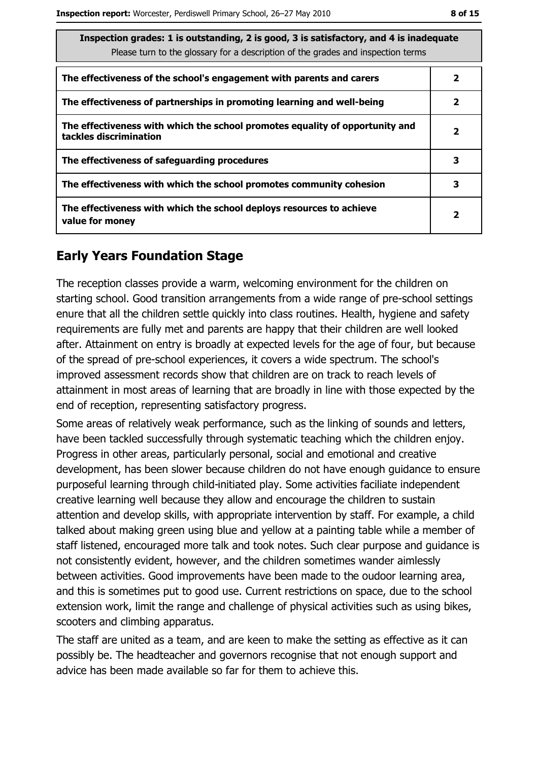| Inspection grades: 1 is outstanding, 2 is good, 3 is satisfactory, and 4 is inadequate<br>Please turn to the glossary for a description of the grades and inspection terms |              |
|----------------------------------------------------------------------------------------------------------------------------------------------------------------------------|--------------|
| The effectiveness of the school's engagement with parents and carers                                                                                                       | 2            |
| The effectiveness of partnerships in promoting learning and well-being                                                                                                     | 2            |
| The effectiveness with which the school promotes equality of opportunity and<br>tackles discrimination                                                                     | $\mathbf{2}$ |
| The effectiveness of safeguarding procedures                                                                                                                               | 3            |
| The effectiveness with which the school promotes community cohesion                                                                                                        | 3            |
| The effectiveness with which the school deploys resources to achieve<br>value for money                                                                                    | 2            |

#### **Early Years Foundation Stage**

The reception classes provide a warm, welcoming environment for the children on starting school. Good transition arrangements from a wide range of pre-school settings enure that all the children settle quickly into class routines. Health, hygiene and safety requirements are fully met and parents are happy that their children are well looked after. Attainment on entry is broadly at expected levels for the age of four, but because of the spread of pre-school experiences, it covers a wide spectrum. The school's improved assessment records show that children are on track to reach levels of attainment in most areas of learning that are broadly in line with those expected by the end of reception, representing satisfactory progress.

Some areas of relatively weak performance, such as the linking of sounds and letters, have been tackled successfully through systematic teaching which the children enjoy. Progress in other areas, particularly personal, social and emotional and creative development, has been slower because children do not have enough guidance to ensure purposeful learning through child-initiated play. Some activities faciliate independent creative learning well because they allow and encourage the children to sustain attention and develop skills, with appropriate intervention by staff. For example, a child talked about making green using blue and yellow at a painting table while a member of staff listened, encouraged more talk and took notes. Such clear purpose and guidance is not consistently evident, however, and the children sometimes wander aimlessly between activities. Good improvements have been made to the oudoor learning area, and this is sometimes put to good use. Current restrictions on space, due to the school extension work, limit the range and challenge of physical activities such as using bikes, scooters and climbing apparatus.

The staff are united as a team, and are keen to make the setting as effective as it can possibly be. The headteacher and governors recognise that not enough support and advice has been made available so far for them to achieve this.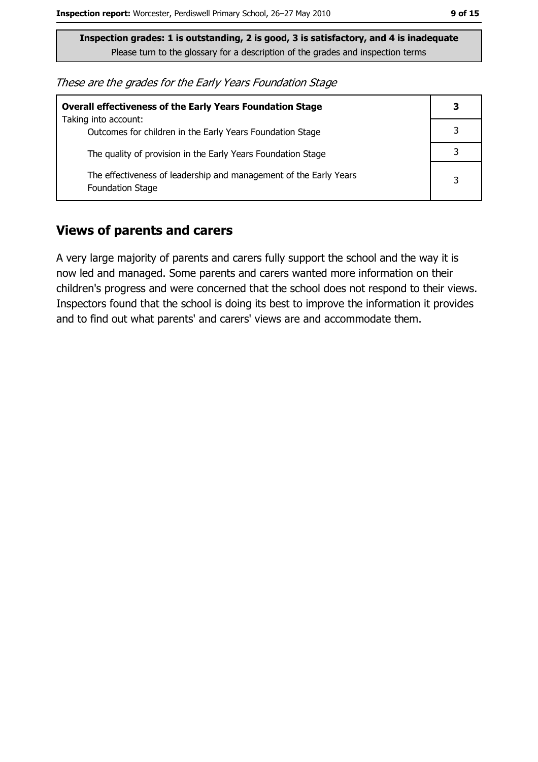These are the grades for the Early Years Foundation Stage

| <b>Overall effectiveness of the Early Years Foundation Stage</b><br>Taking into account:     | 3 |
|----------------------------------------------------------------------------------------------|---|
| Outcomes for children in the Early Years Foundation Stage                                    |   |
| The quality of provision in the Early Years Foundation Stage                                 |   |
| The effectiveness of leadership and management of the Early Years<br><b>Foundation Stage</b> | 3 |

#### **Views of parents and carers**

A very large majority of parents and carers fully support the school and the way it is now led and managed. Some parents and carers wanted more information on their children's progress and were concerned that the school does not respond to their views. Inspectors found that the school is doing its best to improve the information it provides and to find out what parents' and carers' views are and accommodate them.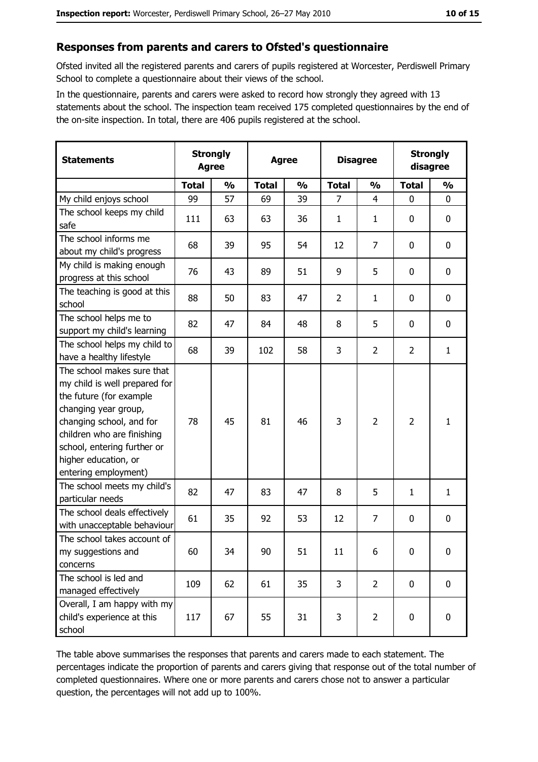#### Responses from parents and carers to Ofsted's questionnaire

Ofsted invited all the registered parents and carers of pupils registered at Worcester, Perdiswell Primary School to complete a questionnaire about their views of the school.

In the questionnaire, parents and carers were asked to record how strongly they agreed with 13 statements about the school. The inspection team received 175 completed questionnaires by the end of the on-site inspection. In total, there are 406 pupils registered at the school.

| <b>Statements</b>                                                                                                                                                                                                                                       | <b>Strongly</b><br><b>Agree</b> |               | <b>Agree</b> |               | <b>Disagree</b> |                | <b>Strongly</b><br>disagree |               |
|---------------------------------------------------------------------------------------------------------------------------------------------------------------------------------------------------------------------------------------------------------|---------------------------------|---------------|--------------|---------------|-----------------|----------------|-----------------------------|---------------|
|                                                                                                                                                                                                                                                         | <b>Total</b>                    | $\frac{0}{0}$ | <b>Total</b> | $\frac{0}{0}$ | <b>Total</b>    | $\frac{0}{0}$  | <b>Total</b>                | $\frac{0}{0}$ |
| My child enjoys school                                                                                                                                                                                                                                  | 99                              | 57            | 69           | 39            | $\overline{7}$  | $\overline{4}$ | $\mathbf 0$                 | $\mathbf 0$   |
| The school keeps my child<br>safe                                                                                                                                                                                                                       | 111                             | 63            | 63           | 36            | $\mathbf{1}$    | $\mathbf{1}$   | 0                           | $\bf{0}$      |
| The school informs me<br>about my child's progress                                                                                                                                                                                                      | 68                              | 39            | 95           | 54            | 12              | $\overline{7}$ | 0                           | 0             |
| My child is making enough<br>progress at this school                                                                                                                                                                                                    | 76                              | 43            | 89           | 51            | 9               | 5              | 0                           | 0             |
| The teaching is good at this<br>school                                                                                                                                                                                                                  | 88                              | 50            | 83           | 47            | $\overline{2}$  | $\mathbf{1}$   | 0                           | $\mathbf 0$   |
| The school helps me to<br>support my child's learning                                                                                                                                                                                                   | 82                              | 47            | 84           | 48            | 8               | 5              | 0                           | 0             |
| The school helps my child to<br>have a healthy lifestyle                                                                                                                                                                                                | 68                              | 39            | 102          | 58            | 3               | $\overline{2}$ | $\overline{2}$              | $\mathbf{1}$  |
| The school makes sure that<br>my child is well prepared for<br>the future (for example<br>changing year group,<br>changing school, and for<br>children who are finishing<br>school, entering further or<br>higher education, or<br>entering employment) | 78                              | 45            | 81           | 46            | 3               | $\overline{2}$ | $\overline{2}$              | $\mathbf{1}$  |
| The school meets my child's<br>particular needs                                                                                                                                                                                                         | 82                              | 47            | 83           | 47            | 8               | 5              | 1                           | $\mathbf{1}$  |
| The school deals effectively<br>with unacceptable behaviour                                                                                                                                                                                             | 61                              | 35            | 92           | 53            | 12              | $\overline{7}$ | 0                           | 0             |
| The school takes account of<br>my suggestions and<br>concerns                                                                                                                                                                                           | 60                              | 34            | 90           | 51            | 11              | 6              | $\mathbf 0$                 | $\mathbf 0$   |
| The school is led and<br>managed effectively                                                                                                                                                                                                            | 109                             | 62            | 61           | 35            | 3               | $\overline{2}$ | $\mathbf 0$                 | $\mathbf 0$   |
| Overall, I am happy with my<br>child's experience at this<br>school                                                                                                                                                                                     | 117                             | 67            | 55           | 31            | 3               | $\overline{2}$ | 0                           | $\mathbf 0$   |

The table above summarises the responses that parents and carers made to each statement. The percentages indicate the proportion of parents and carers giving that response out of the total number of completed questionnaires. Where one or more parents and carers chose not to answer a particular question, the percentages will not add up to 100%.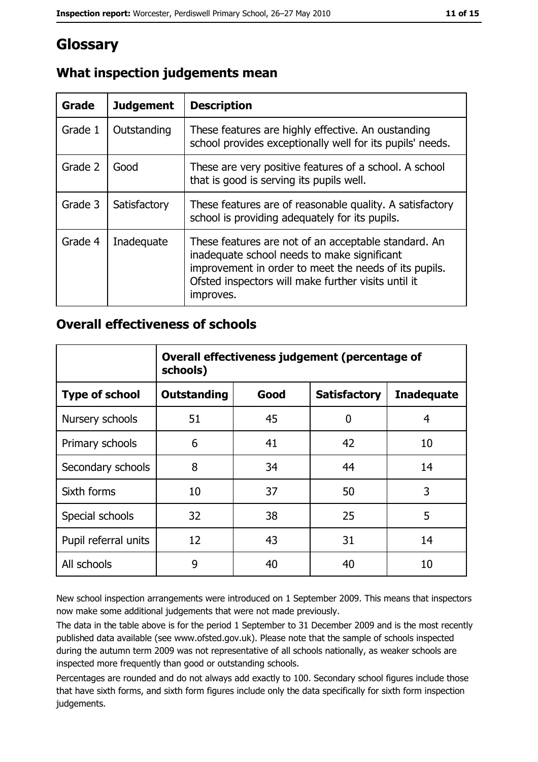## Glossary

| Grade   | <b>Judgement</b> | <b>Description</b>                                                                                                                                                                                                               |
|---------|------------------|----------------------------------------------------------------------------------------------------------------------------------------------------------------------------------------------------------------------------------|
| Grade 1 | Outstanding      | These features are highly effective. An oustanding<br>school provides exceptionally well for its pupils' needs.                                                                                                                  |
| Grade 2 | Good             | These are very positive features of a school. A school<br>that is good is serving its pupils well.                                                                                                                               |
| Grade 3 | Satisfactory     | These features are of reasonable quality. A satisfactory<br>school is providing adequately for its pupils.                                                                                                                       |
| Grade 4 | Inadequate       | These features are not of an acceptable standard. An<br>inadequate school needs to make significant<br>improvement in order to meet the needs of its pupils.<br>Ofsted inspectors will make further visits until it<br>improves. |

#### What inspection judgements mean

#### **Overall effectiveness of schools**

|                       | Overall effectiveness judgement (percentage of<br>schools) |      |                     |                   |
|-----------------------|------------------------------------------------------------|------|---------------------|-------------------|
| <b>Type of school</b> | <b>Outstanding</b>                                         | Good | <b>Satisfactory</b> | <b>Inadequate</b> |
| Nursery schools       | 51                                                         | 45   | 0                   | 4                 |
| Primary schools       | 6                                                          | 41   | 42                  | 10                |
| Secondary schools     | 8                                                          | 34   | 44                  | 14                |
| Sixth forms           | 10                                                         | 37   | 50                  | 3                 |
| Special schools       | 32                                                         | 38   | 25                  | 5                 |
| Pupil referral units  | 12                                                         | 43   | 31                  | 14                |
| All schools           | 9                                                          | 40   | 40                  | 10                |

New school inspection arrangements were introduced on 1 September 2009. This means that inspectors now make some additional judgements that were not made previously.

The data in the table above is for the period 1 September to 31 December 2009 and is the most recently published data available (see www.ofsted.gov.uk). Please note that the sample of schools inspected during the autumn term 2009 was not representative of all schools nationally, as weaker schools are inspected more frequently than good or outstanding schools.

Percentages are rounded and do not always add exactly to 100. Secondary school figures include those that have sixth forms, and sixth form figures include only the data specifically for sixth form inspection judgements.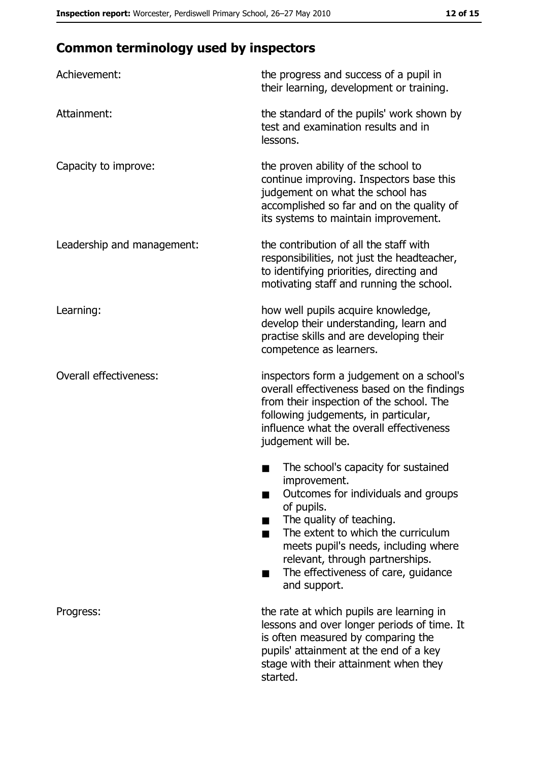## **Common terminology used by inspectors**

| Achievement:                  | the progress and success of a pupil in<br>their learning, development or training.                                                                                                                                                                                                                           |
|-------------------------------|--------------------------------------------------------------------------------------------------------------------------------------------------------------------------------------------------------------------------------------------------------------------------------------------------------------|
| Attainment:                   | the standard of the pupils' work shown by<br>test and examination results and in<br>lessons.                                                                                                                                                                                                                 |
| Capacity to improve:          | the proven ability of the school to<br>continue improving. Inspectors base this<br>judgement on what the school has<br>accomplished so far and on the quality of<br>its systems to maintain improvement.                                                                                                     |
| Leadership and management:    | the contribution of all the staff with<br>responsibilities, not just the headteacher,<br>to identifying priorities, directing and<br>motivating staff and running the school.                                                                                                                                |
| Learning:                     | how well pupils acquire knowledge,<br>develop their understanding, learn and<br>practise skills and are developing their<br>competence as learners.                                                                                                                                                          |
| <b>Overall effectiveness:</b> | inspectors form a judgement on a school's<br>overall effectiveness based on the findings<br>from their inspection of the school. The<br>following judgements, in particular,<br>influence what the overall effectiveness<br>judgement will be.                                                               |
|                               | The school's capacity for sustained<br>improvement.<br>Outcomes for individuals and groups<br>of pupils.<br>The quality of teaching.<br>The extent to which the curriculum<br>meets pupil's needs, including where<br>relevant, through partnerships.<br>The effectiveness of care, guidance<br>and support. |
| Progress:                     | the rate at which pupils are learning in<br>lessons and over longer periods of time. It<br>is often measured by comparing the<br>pupils' attainment at the end of a key<br>stage with their attainment when they<br>started.                                                                                 |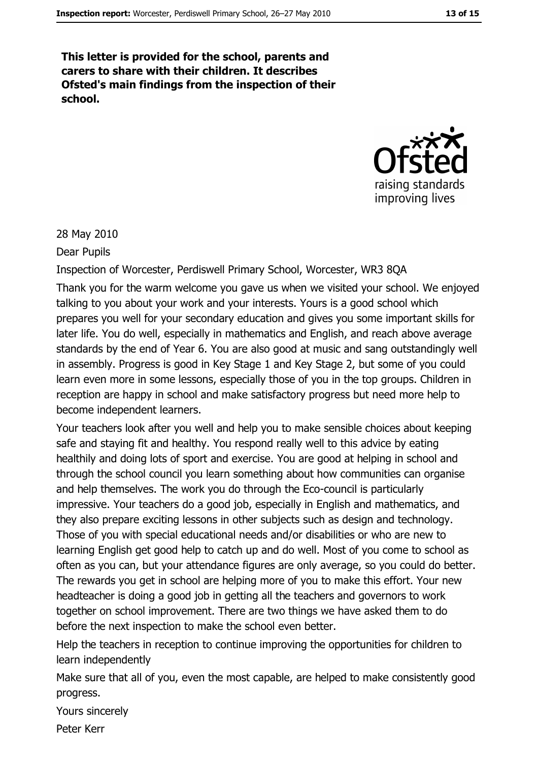This letter is provided for the school, parents and carers to share with their children. It describes Ofsted's main findings from the inspection of their school.



28 May 2010

Dear Pupils

Inspection of Worcester, Perdiswell Primary School, Worcester, WR3 8QA

Thank you for the warm welcome you gave us when we visited your school. We enjoyed talking to you about your work and your interests. Yours is a good school which prepares you well for your secondary education and gives you some important skills for later life. You do well, especially in mathematics and English, and reach above average standards by the end of Year 6. You are also good at music and sang outstandingly well in assembly. Progress is good in Key Stage 1 and Key Stage 2, but some of you could learn even more in some lessons, especially those of you in the top groups. Children in reception are happy in school and make satisfactory progress but need more help to become independent learners.

Your teachers look after you well and help you to make sensible choices about keeping safe and staying fit and healthy. You respond really well to this advice by eating healthily and doing lots of sport and exercise. You are good at helping in school and through the school council you learn something about how communities can organise and help themselves. The work you do through the Eco-council is particularly impressive. Your teachers do a good job, especially in English and mathematics, and they also prepare exciting lessons in other subjects such as design and technology. Those of you with special educational needs and/or disabilities or who are new to learning English get good help to catch up and do well. Most of you come to school as often as you can, but your attendance figures are only average, so you could do better. The rewards you get in school are helping more of you to make this effort. Your new headteacher is doing a good job in getting all the teachers and governors to work together on school improvement. There are two things we have asked them to do before the next inspection to make the school even better.

Help the teachers in reception to continue improving the opportunities for children to learn independently

Make sure that all of you, even the most capable, are helped to make consistently good progress.

Yours sincerely

Peter Kerr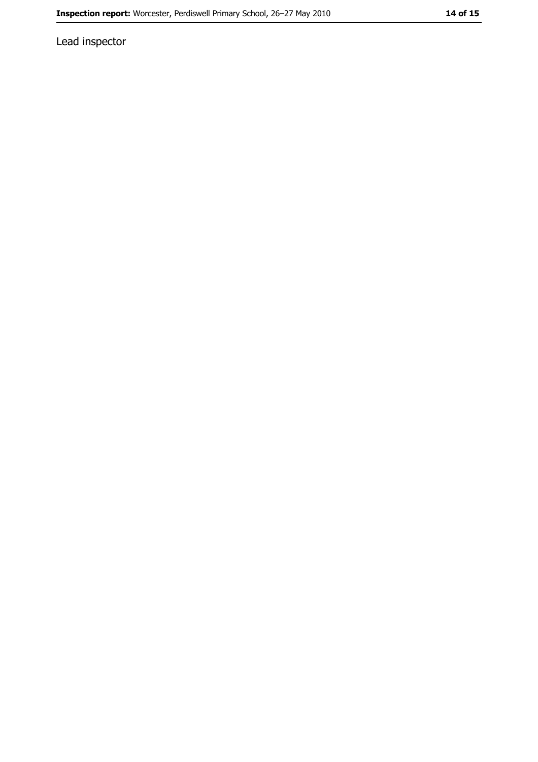Lead inspector